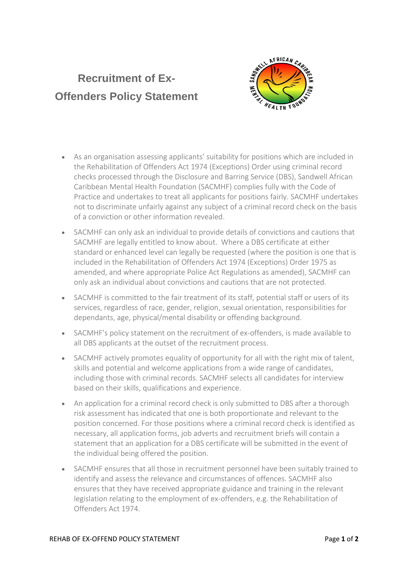## **Recruitment of Ex-Offenders Policy Statement**



- As an organisation assessing applicants' suitability for positions which are included in the Rehabilitation of Offenders Act 1974 (Exceptions) Order using criminal record checks processed through the Disclosure and Barring Service (DBS), Sandwell African Caribbean Mental Health Foundation (SACMHF) complies fully with the Code of Practice and undertakes to treat all applicants for positions fairly. SACMHF undertakes not to discriminate unfairly against any subject of a criminal record check on the basis of a conviction or other information revealed.
- SACMHF can only ask an individual to provide details of convictions and cautions that SACMHF are legally entitled to know about. Where a DBS certificate at either standard or enhanced level can legally be requested (where the position is one that is included in the Rehabilitation of Offenders Act 1974 (Exceptions) Order 1975 as amended, and where appropriate Police Act Regulations as amended), SACMHF can only ask an individual about convictions and cautions that are not protected.
- SACMHF is committed to the fair treatment of its staff, potential staff or users of its services, regardless of race, gender, religion, sexual orientation, responsibilities for dependants, age, physical/mental disability or offending background.
- SACMHF's policy statement on the recruitment of ex-offenders, is made available to all DBS applicants at the outset of the recruitment process.
- SACMHF actively promotes equality of opportunity for all with the right mix of talent, skills and potential and welcome applications from a wide range of candidates, including those with criminal records. SACMHF selects all candidates for interview based on their skills, qualifications and experience.
- An application for a criminal record check is only submitted to DBS after a thorough risk assessment has indicated that one is both proportionate and relevant to the position concerned. For those positions where a criminal record check is identified as necessary, all application forms, job adverts and recruitment briefs will contain a statement that an application for a DBS certificate will be submitted in the event of the individual being offered the position.
- SACMHF ensures that all those in recruitment personnel have been suitably trained to identify and assess the relevance and circumstances of offences. SACMHF also ensures that they have received appropriate guidance and training in the relevant legislation relating to the employment of ex-offenders, e.g. the Rehabilitation of Offenders Act 1974.